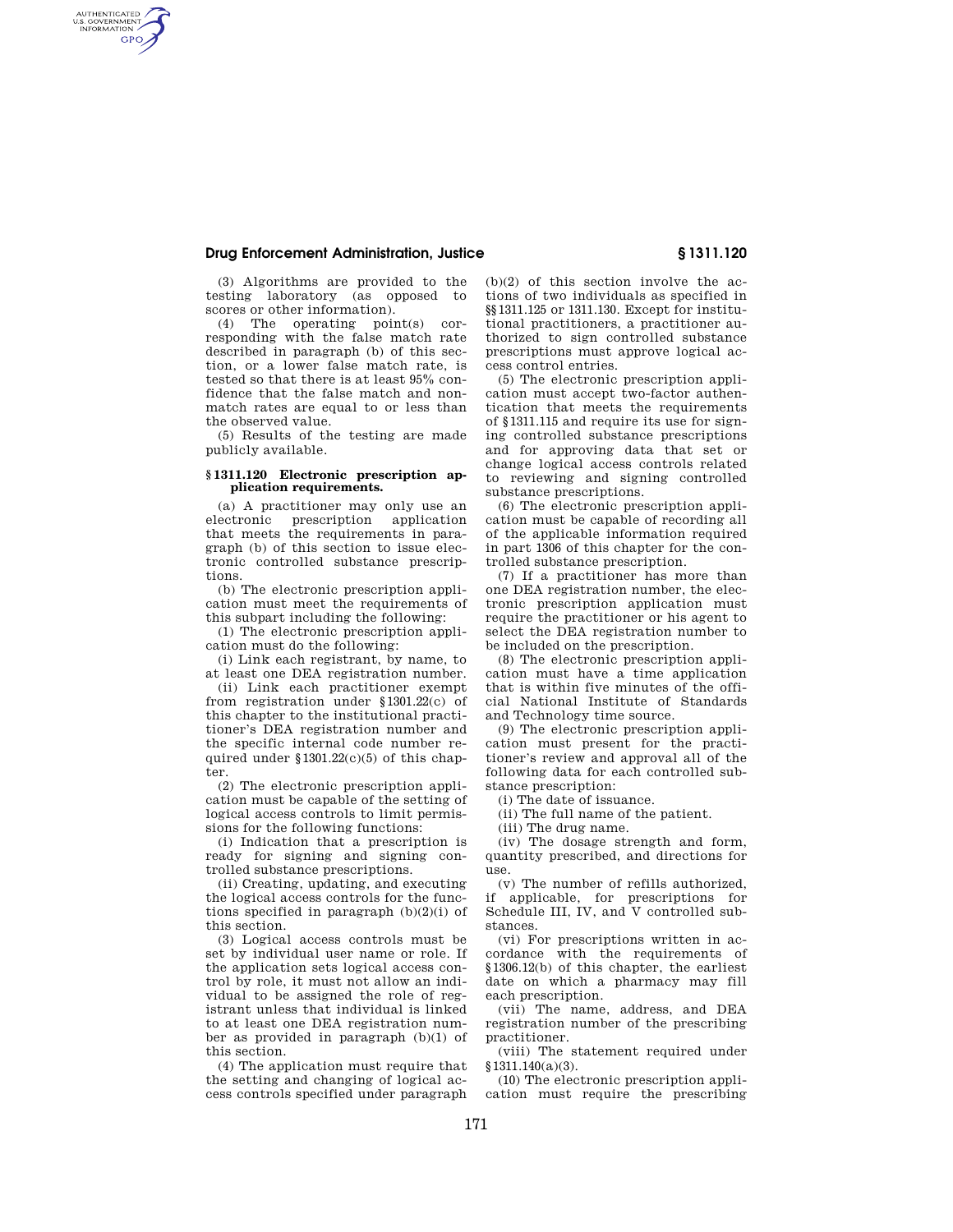## **Drug Enforcement Administration, Justice § 1311.120**

AUTHENTICATED<br>U.S. GOVERNMENT<br>INFORMATION **GPO** 

> (3) Algorithms are provided to the testing laboratory (as opposed to scores or other information).

> (4) The operating point(s) corresponding with the false match rate described in paragraph (b) of this section, or a lower false match rate, is tested so that there is at least 95% confidence that the false match and nonmatch rates are equal to or less than the observed value.

> (5) Results of the testing are made publicly available.

## **§ 1311.120 Electronic prescription application requirements.**

(a) A practitioner may only use an electronic prescription application that meets the requirements in paragraph (b) of this section to issue electronic controlled substance prescriptions.

(b) The electronic prescription application must meet the requirements of this subpart including the following:

(1) The electronic prescription application must do the following:

(i) Link each registrant, by name, to at least one DEA registration number.

(ii) Link each practitioner exempt from registration under §1301.22(c) of this chapter to the institutional practitioner's DEA registration number and the specific internal code number required under §1301.22(c)(5) of this chapter.

(2) The electronic prescription application must be capable of the setting of logical access controls to limit permissions for the following functions:

(i) Indication that a prescription is ready for signing and signing controlled substance prescriptions.

(ii) Creating, updating, and executing the logical access controls for the functions specified in paragraph  $(b)(2)(i)$  of this section.

(3) Logical access controls must be set by individual user name or role. If the application sets logical access control by role, it must not allow an individual to be assigned the role of registrant unless that individual is linked to at least one DEA registration number as provided in paragraph (b)(1) of this section.

(4) The application must require that the setting and changing of logical access controls specified under paragraph (b)(2) of this section involve the actions of two individuals as specified in §§1311.125 or 1311.130. Except for institutional practitioners, a practitioner authorized to sign controlled substance prescriptions must approve logical access control entries.

(5) The electronic prescription application must accept two-factor authentication that meets the requirements of §1311.115 and require its use for signing controlled substance prescriptions and for approving data that set or change logical access controls related to reviewing and signing controlled substance prescriptions.

(6) The electronic prescription application must be capable of recording all of the applicable information required in part 1306 of this chapter for the controlled substance prescription.

(7) If a practitioner has more than one DEA registration number, the electronic prescription application must require the practitioner or his agent to select the DEA registration number to be included on the prescription.

(8) The electronic prescription application must have a time application that is within five minutes of the official National Institute of Standards and Technology time source.

(9) The electronic prescription application must present for the practitioner's review and approval all of the following data for each controlled substance prescription:

(i) The date of issuance.

(ii) The full name of the patient.

(iii) The drug name.

(iv) The dosage strength and form, quantity prescribed, and directions for use.

(v) The number of refills authorized, if applicable, for prescriptions for Schedule III, IV, and V controlled substances.

(vi) For prescriptions written in accordance with the requirements of §1306.12(b) of this chapter, the earliest date on which a pharmacy may fill each prescription.

(vii) The name, address, and DEA registration number of the prescribing practitioner.

(viii) The statement required under §1311.140(a)(3).

(10) The electronic prescription application must require the prescribing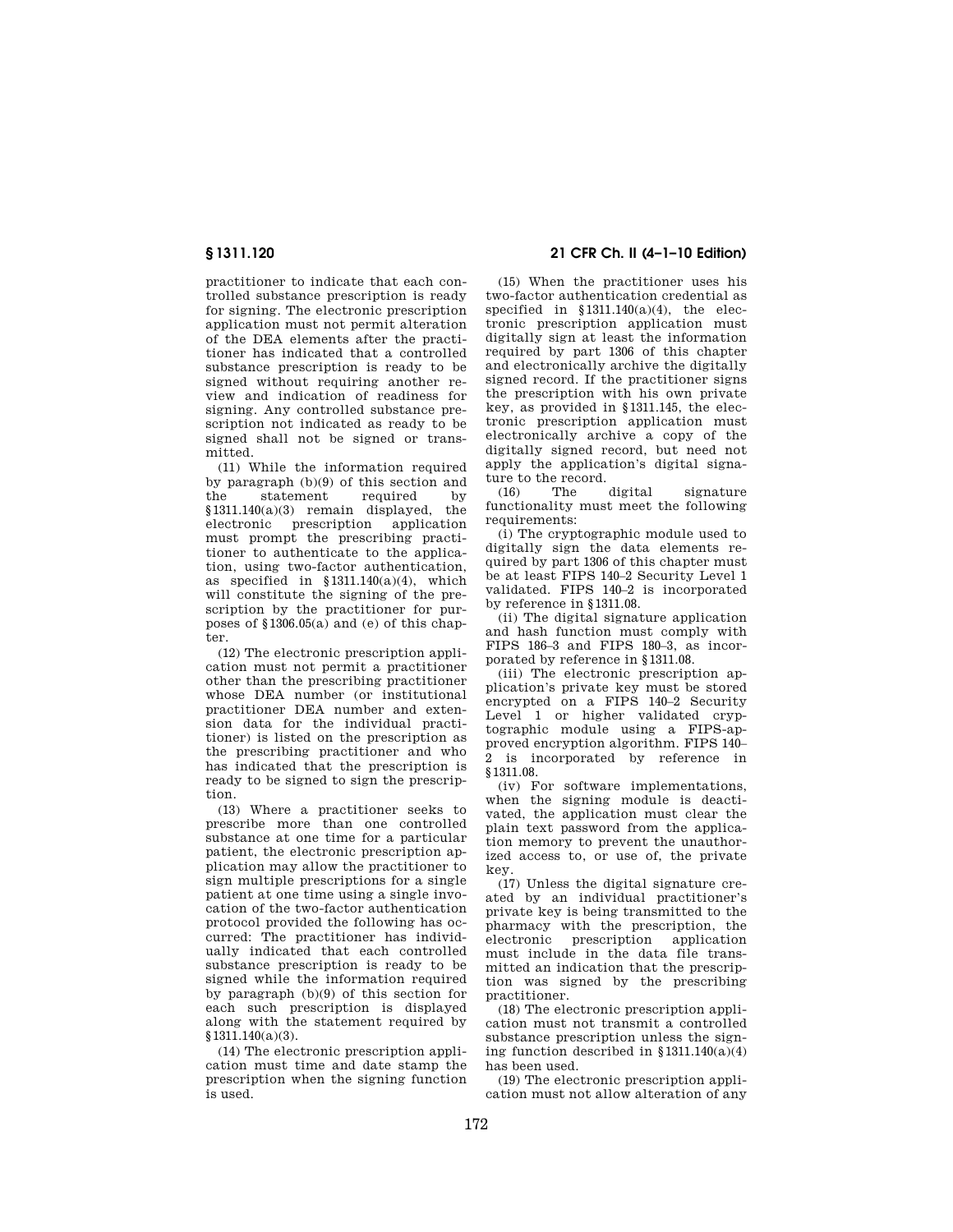practitioner to indicate that each controlled substance prescription is ready for signing. The electronic prescription application must not permit alteration of the DEA elements after the practitioner has indicated that a controlled substance prescription is ready to be signed without requiring another review and indication of readiness for signing. Any controlled substance prescription not indicated as ready to be signed shall not be signed or transmitted.

(11) While the information required by paragraph (b)(9) of this section and the statement required by §1311.140(a)(3) remain displayed, the electronic prescription application must prompt the prescribing practitioner to authenticate to the application, using two-factor authentication, as specified in §1311.140(a)(4), which will constitute the signing of the prescription by the practitioner for purposes of §1306.05(a) and (e) of this chapter.

(12) The electronic prescription application must not permit a practitioner other than the prescribing practitioner whose DEA number (or institutional practitioner DEA number and extension data for the individual practitioner) is listed on the prescription as the prescribing practitioner and who has indicated that the prescription is ready to be signed to sign the prescription.

(13) Where a practitioner seeks to prescribe more than one controlled substance at one time for a particular patient, the electronic prescription application may allow the practitioner to sign multiple prescriptions for a single patient at one time using a single invocation of the two-factor authentication protocol provided the following has occurred: The practitioner has individually indicated that each controlled substance prescription is ready to be signed while the information required by paragraph (b)(9) of this section for each such prescription is displayed along with the statement required by §1311.140(a)(3).

(14) The electronic prescription application must time and date stamp the prescription when the signing function is used.

**§ 1311.120 21 CFR Ch. II (4–1–10 Edition)** 

(15) When the practitioner uses his two-factor authentication credential as specified in  $$1311.140(a)(4)$ , the electronic prescription application must digitally sign at least the information required by part 1306 of this chapter and electronically archive the digitally signed record. If the practitioner signs the prescription with his own private key, as provided in §1311.145, the electronic prescription application must electronically archive a copy of the digitally signed record, but need not apply the application's digital signature to the record.

(16) The digital signature functionality must meet the following requirements:

(i) The cryptographic module used to digitally sign the data elements required by part 1306 of this chapter must be at least FIPS 140–2 Security Level 1 validated. FIPS 140–2 is incorporated by reference in §1311.08.

(ii) The digital signature application and hash function must comply with FIPS 186–3 and FIPS 180–3, as incorporated by reference in §1311.08.

(iii) The electronic prescription application's private key must be stored encrypted on a FIPS 140–2 Security Level 1 or higher validated cryptographic module using a FIPS-approved encryption algorithm. FIPS 140– 2 is incorporated by reference in §1311.08.

(iv) For software implementations, when the signing module is deactivated, the application must clear the plain text password from the application memory to prevent the unauthorized access to, or use of, the private key.

(17) Unless the digital signature created by an individual practitioner's private key is being transmitted to the pharmacy with the prescription, the electronic prescription application electronic prescription must include in the data file transmitted an indication that the prescription was signed by the prescribing practitioner.

(18) The electronic prescription application must not transmit a controlled substance prescription unless the signing function described in  $$1311.140(a)(4)$ has been used.

(19) The electronic prescription application must not allow alteration of any